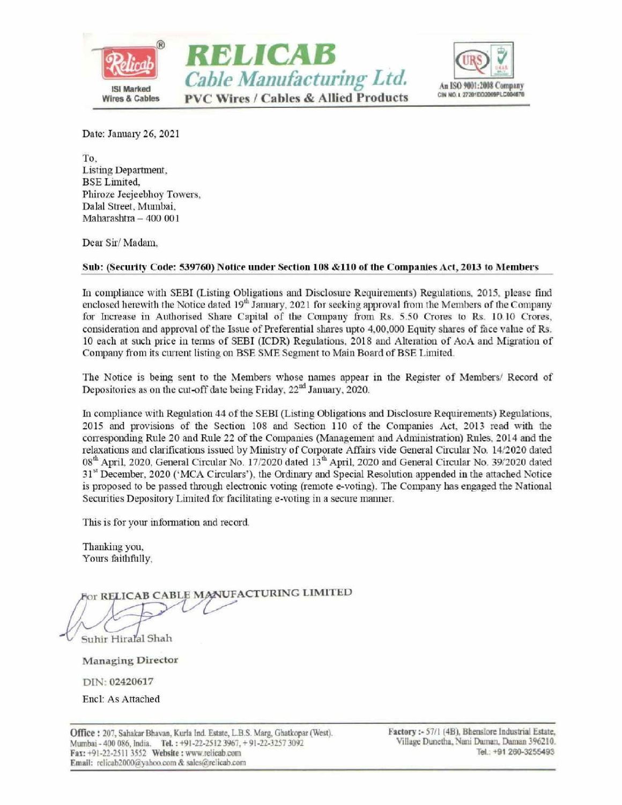





Date: January 26, 2021

To, Listing Department, BSE Limited, Phiroze Jeejeebhoy Towers, Dalal Street, Mumbai, Maharashtra — 400 001

Dear Sir/ Madam,

In compliance with SEBI (Listing Obligations and Disclosure Requirements) Regulations, 2015, please find enclosed herewith the Notice dated  $19<sup>th</sup>$  January, 2021 for seeking approval from the Members of the Company for Increase in Authorised Share Capital of the Company from Rs. 5.50 Crores to Rs. 10.10 Crores, consideration and approval of the Issue of Preferential shares upto 4,00,000 Equity shares of face value of Rs. 10 each at such price in terms of SEBI (ICDR) Regulations, 2018 and Alteration of AoA and Migration of Company from its current listing on BSE SME Segment to Main Board of BSE Limited.

The Notice is being sent to the Members whose names appear in the Register of Members/ Record of Depositories as on the cut-off date being Friday,  $22<sup>nd</sup>$  January, 2020.

In compliance with Regulation 44 of the SEBI (Listing Obligations and Disclosure Requirements) Regulations, 2015 and provisions of the Section 108 and Section 110 of the Companies Act, 2013 read with the corresponding Rule 20 and Rule 22 of the Companies (Management and Administration) Rules, 2014 and the relaxations and clarifications issued by Ministry of Corporate Affairs vide General Circular No. 14/2020 dated 08<sup>th</sup> April, 2020, General Circular No. 17/2020 dated 13<sup>th</sup> April, 2020 and General Circular No. 39/2020 dated 31<sup>st</sup> December, 2020 ('MCA Circulars'), the Ordinary and Special Resolution appended in the attached Notice is proposed to be passed through electronic voting (remote e-voting). The Company has engaged the National Securities Depository Limited for facilitating e-voting in a secure manner. Dear Sir/Madam,<br>
Sub: (Security Code: 539760) Notice under Section<br>
In compliance with SEBI (Listing Obligations and D<br>
enclosed herewith the Notice dated 19<sup>th</sup> January, 2021<br>
for Increase in Authorised Share Capital of **EXECUTE:**<br>
Cable Manufacturing Ltd.<br>
Subsequence<br>
wires 4 cables<br>
PVC Wires / Cables & Allied Products<br>
Noise Subsequence<br>
Distribution 26, 2021<br>
16.<br>
Distribution 26, 2021<br>
16.<br>
Distribution 26, 2021<br>
16.<br>
Distribution

This is for your information and record.

Thanking you, Yours faithfully,

This is for your information a<br>
Thanking you,<br>
Yours faithfully,<br>
For RELICAB CABLE M<br>
Suhir Hiraral Shah<br>
Managing Director<br>
DIN: 02420617<br>
Encl: As Attached<br>
Office : 207, Sahakar Bhavan, Kurla Ind<br>
Mumbai - 400 086, Ind

Managing Director

DIN: 02420617

Encl: As Attached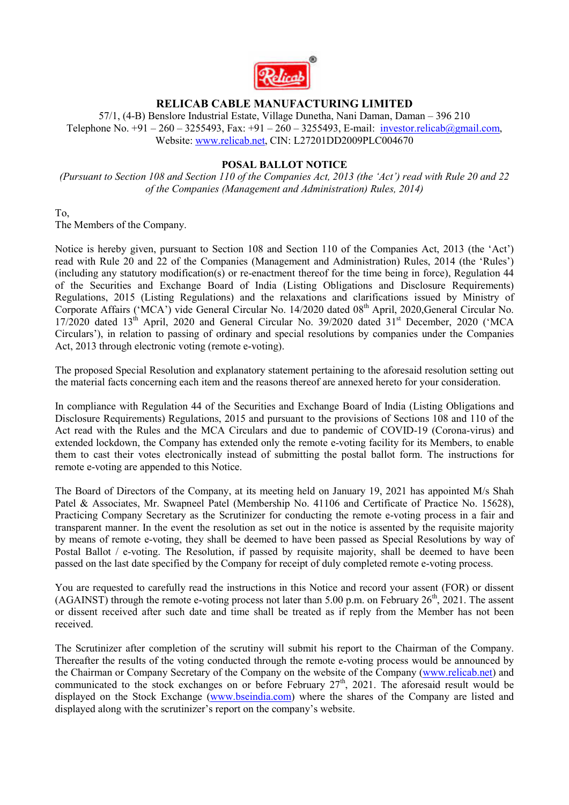

# **RELICAB CABLE MANUFACTURING LIMITED**

57/1, (4-B) Benslore Industrial Estate, Village Dunetha, Nani Daman, Daman – 396 210 Telephone No.  $+91 - 260 - 3255493$ , Fax:  $+91 - 260 - 3255493$ , E-mail: [investor.relicab@gmail.com,](mailto:investor.relicab@gmail.com) Website: [www.relicab.net,](http://www.relicab.net/) CIN: L27201DD2009PLC004670

## **POSAL BALLOT NOTICE**

*(Pursuant to Section 108 and Section 110 of the Companies Act, 2013 (the 'Act') read with Rule 20 and 22 of the Companies (Management and Administration) Rules, 2014)* 

To,

The Members of the Company.

Notice is hereby given, pursuant to Section 108 and Section 110 of the Companies Act, 2013 (the 'Act') read with Rule 20 and 22 of the Companies (Management and Administration) Rules, 2014 (the 'Rules') (including any statutory modification(s) or re-enactment thereof for the time being in force), Regulation 44 of the Securities and Exchange Board of India (Listing Obligations and Disclosure Requirements) Regulations, 2015 (Listing Regulations) and the relaxations and clarifications issued by Ministry of Corporate Affairs ('MCA') vide General Circular No. 14/2020 dated 08<sup>th</sup> April, 2020,General Circular No.  $17/2020$  dated  $13<sup>th</sup>$  April, 2020 and General Circular No. 39/2020 dated  $31<sup>st</sup>$  December, 2020 ('MCA Circulars'), in relation to passing of ordinary and special resolutions by companies under the Companies Act, 2013 through electronic voting (remote e-voting).

The proposed Special Resolution and explanatory statement pertaining to the aforesaid resolution setting out the material facts concerning each item and the reasons thereof are annexed hereto for your consideration.

In compliance with Regulation 44 of the Securities and Exchange Board of India (Listing Obligations and Disclosure Requirements) Regulations, 2015 and pursuant to the provisions of Sections 108 and 110 of the Act read with the Rules and the MCA Circulars and due to pandemic of COVID-19 (Corona-virus) and extended lockdown, the Company has extended only the remote e-voting facility for its Members, to enable them to cast their votes electronically instead of submitting the postal ballot form. The instructions for remote e-voting are appended to this Notice.

The Board of Directors of the Company, at its meeting held on January 19, 2021 has appointed M/s Shah Patel & Associates, Mr. Swapneel Patel (Membership No. 41106 and Certificate of Practice No. 15628), Practicing Company Secretary as the Scrutinizer for conducting the remote e-voting process in a fair and transparent manner. In the event the resolution as set out in the notice is assented by the requisite majority by means of remote e-voting, they shall be deemed to have been passed as Special Resolutions by way of Postal Ballot / e-voting. The Resolution, if passed by requisite majority, shall be deemed to have been passed on the last date specified by the Company for receipt of duly completed remote e-voting process.

You are requested to carefully read the instructions in this Notice and record your assent (FOR) or dissent (AGAINST) through the remote e-voting process not later than 5.00 p.m. on February  $26<sup>th</sup>$ , 2021. The assent or dissent received after such date and time shall be treated as if reply from the Member has not been received.

The Scrutinizer after completion of the scrutiny will submit his report to the Chairman of the Company. Thereafter the results of the voting conducted through the remote e-voting process would be announced by the Chairman or Company Secretary of the Company on the website of the Company [\(www.relicab.net\)](http://www.relicab.net/) and communicated to the stock exchanges on or before February  $27<sup>th</sup>$ , 2021. The aforesaid result would be displayed on the Stock Exchange [\(www.bseindia.com\)](http://www.bseindia.com/) where the shares of the Company are listed and displayed along with the scrutinizer's report on the company's website.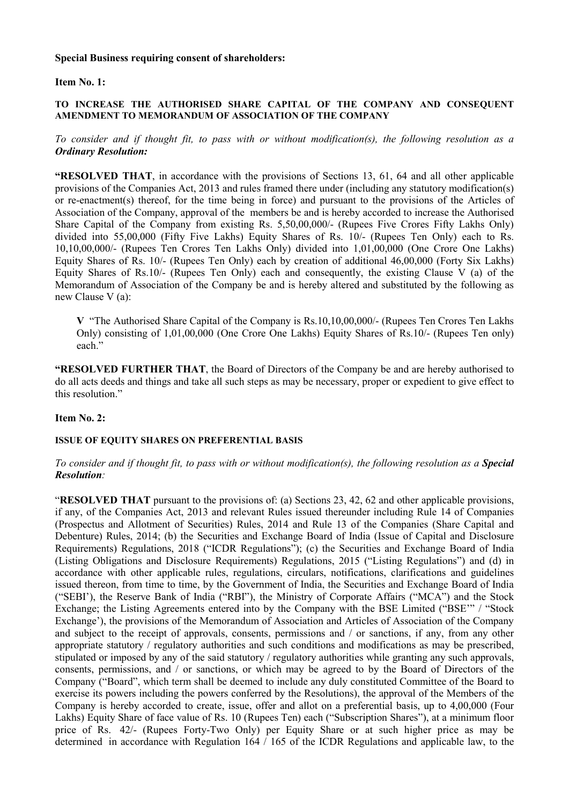#### **Special Business requiring consent of shareholders:**

#### **Item No. 1:**

#### **TO INCREASE THE AUTHORISED SHARE CAPITAL OF THE COMPANY AND CONSEQUENT AMENDMENT TO MEMORANDUM OF ASSOCIATION OF THE COMPANY**

*To consider and if thought fit, to pass with or without modification(s), the following resolution as a Ordinary Resolution:*

**"RESOLVED THAT**, in accordance with the provisions of Sections 13, 61, 64 and all other applicable provisions of the Companies Act, 2013 and rules framed there under (including any statutory modification(s) or re-enactment(s) thereof, for the time being in force) and pursuant to the provisions of the Articles of Association of the Company, approval of the members be and is hereby accorded to increase the Authorised Share Capital of the Company from existing Rs. 5,50,00,000/- (Rupees Five Crores Fifty Lakhs Only) divided into 55,00,000 (Fifty Five Lakhs) Equity Shares of Rs. 10/- (Rupees Ten Only) each to Rs. 10,10,00,000/- (Rupees Ten Crores Ten Lakhs Only) divided into 1,01,00,000 (One Crore One Lakhs) Equity Shares of Rs. 10/- (Rupees Ten Only) each by creation of additional 46,00,000 (Forty Six Lakhs) Equity Shares of Rs.10/- (Rupees Ten Only) each and consequently, the existing Clause V (a) of the Memorandum of Association of the Company be and is hereby altered and substituted by the following as new Clause V (a):

**V** "The Authorised Share Capital of the Company is Rs.10,10,00,000/- (Rupees Ten Crores Ten Lakhs Only) consisting of 1,01,00,000 (One Crore One Lakhs) Equity Shares of Rs.10/- (Rupees Ten only) each."

**"RESOLVED FURTHER THAT**, the Board of Directors of the Company be and are hereby authorised to do all acts deeds and things and take all such steps as may be necessary, proper or expedient to give effect to this resolution."

#### **Item No. 2:**

#### **ISSUE OF EQUITY SHARES ON PREFERENTIAL BASIS**

#### *To consider and if thought fit, to pass with or without modification(s), the following resolution as a Special Resolution:*

"**RESOLVED THAT** pursuant to the provisions of: (a) Sections 23, 42, 62 and other applicable provisions, if any, of the Companies Act, 2013 and relevant Rules issued thereunder including Rule 14 of Companies (Prospectus and Allotment of Securities) Rules, 2014 and Rule 13 of the Companies (Share Capital and Debenture) Rules, 2014; (b) the Securities and Exchange Board of India (Issue of Capital and Disclosure Requirements) Regulations, 2018 ("ICDR Regulations"); (c) the Securities and Exchange Board of India (Listing Obligations and Disclosure Requirements) Regulations, 2015 ("Listing Regulations") and (d) in accordance with other applicable rules, regulations, circulars, notifications, clarifications and guidelines issued thereon, from time to time, by the Government of India, the Securities and Exchange Board of India ("SEBI'), the Reserve Bank of India ("RBI"), the Ministry of Corporate Affairs ("MCA") and the Stock Exchange; the Listing Agreements entered into by the Company with the BSE Limited ("BSE'" / "Stock Exchange'), the provisions of the Memorandum of Association and Articles of Association of the Company and subject to the receipt of approvals, consents, permissions and / or sanctions, if any, from any other appropriate statutory / regulatory authorities and such conditions and modifications as may be prescribed, stipulated or imposed by any of the said statutory / regulatory authorities while granting any such approvals, consents, permissions, and / or sanctions, or which may be agreed to by the Board of Directors of the Company ("Board", which term shall be deemed to include any duly constituted Committee of the Board to exercise its powers including the powers conferred by the Resolutions), the approval of the Members of the Company is hereby accorded to create, issue, offer and allot on a preferential basis, up to 4,00,000 (Four Lakhs) Equity Share of face value of Rs. 10 (Rupees Ten) each ("Subscription Shares"), at a minimum floor price of Rs. 42/- (Rupees Forty-Two Only) per Equity Share or at such higher price as may be determined in accordance with Regulation  $164 / 165$  of the ICDR Regulations and applicable law, to the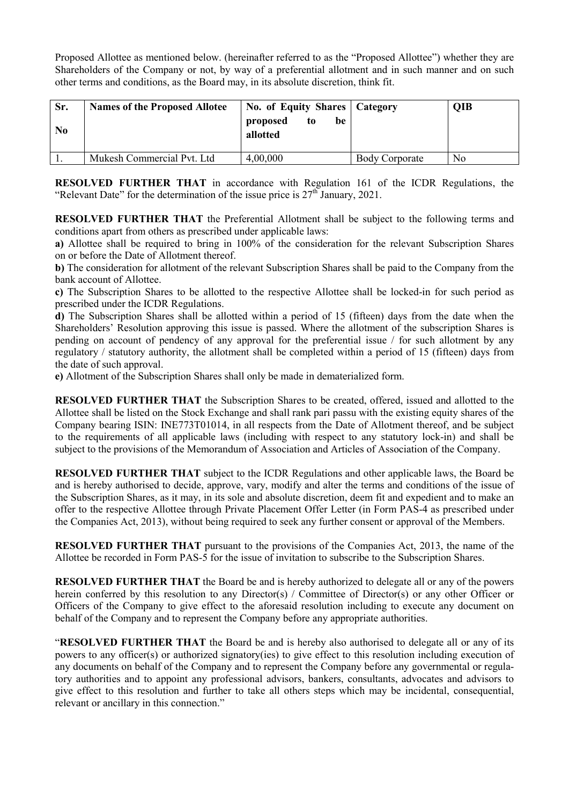Proposed Allottee as mentioned below. (hereinafter referred to as the "Proposed Allottee") whether they are Shareholders of the Company or not, by way of a preferential allotment and in such manner and on such other terms and conditions, as the Board may, in its absolute discretion, think fit.

| Sr.<br>N <sub>0</sub> | <b>Names of the Proposed Allotee</b> | No. of Equity Shares   Category<br>proposed<br>be<br>to<br>allotted |                       | <b>QIB</b>     |
|-----------------------|--------------------------------------|---------------------------------------------------------------------|-----------------------|----------------|
|                       | Mukesh Commercial Pvt. Ltd           | 4,00,000                                                            | <b>Body Corporate</b> | N <sub>0</sub> |

**RESOLVED FURTHER THAT** in accordance with Regulation 161 of the ICDR Regulations, the "Relevant Date" for the determination of the issue price is  $27<sup>th</sup>$  January, 2021.

**RESOLVED FURTHER THAT** the Preferential Allotment shall be subject to the following terms and conditions apart from others as prescribed under applicable laws:

**a)** Allottee shall be required to bring in 100% of the consideration for the relevant Subscription Shares on or before the Date of Allotment thereof.

**b)** The consideration for allotment of the relevant Subscription Shares shall be paid to the Company from the bank account of Allottee.

**c)** The Subscription Shares to be allotted to the respective Allottee shall be locked-in for such period as prescribed under the ICDR Regulations.

**d)** The Subscription Shares shall be allotted within a period of 15 (fifteen) days from the date when the Shareholders' Resolution approving this issue is passed. Where the allotment of the subscription Shares is pending on account of pendency of any approval for the preferential issue / for such allotment by any regulatory / statutory authority, the allotment shall be completed within a period of 15 (fifteen) days from the date of such approval.

**e)** Allotment of the Subscription Shares shall only be made in dematerialized form.

**RESOLVED FURTHER THAT** the Subscription Shares to be created, offered, issued and allotted to the Allottee shall be listed on the Stock Exchange and shall rank pari passu with the existing equity shares of the Company bearing ISIN: INE773T01014, in all respects from the Date of Allotment thereof, and be subject to the requirements of all applicable laws (including with respect to any statutory lock-in) and shall be subject to the provisions of the Memorandum of Association and Articles of Association of the Company.

**RESOLVED FURTHER THAT** subject to the ICDR Regulations and other applicable laws, the Board be and is hereby authorised to decide, approve, vary, modify and alter the terms and conditions of the issue of the Subscription Shares, as it may, in its sole and absolute discretion, deem fit and expedient and to make an offer to the respective Allottee through Private Placement Offer Letter (in Form PAS-4 as prescribed under the Companies Act, 2013), without being required to seek any further consent or approval of the Members.

**RESOLVED FURTHER THAT** pursuant to the provisions of the Companies Act, 2013, the name of the Allottee be recorded in Form PAS-5 for the issue of invitation to subscribe to the Subscription Shares.

**RESOLVED FURTHER THAT** the Board be and is hereby authorized to delegate all or any of the powers herein conferred by this resolution to any Director(s) / Committee of Director(s) or any other Officer or Officers of the Company to give effect to the aforesaid resolution including to execute any document on behalf of the Company and to represent the Company before any appropriate authorities.

"**RESOLVED FURTHER THAT** the Board be and is hereby also authorised to delegate all or any of its powers to any officer(s) or authorized signatory(ies) to give effect to this resolution including execution of any documents on behalf of the Company and to represent the Company before any governmental or regulatory authorities and to appoint any professional advisors, bankers, consultants, advocates and advisors to give effect to this resolution and further to take all others steps which may be incidental, consequential, relevant or ancillary in this connection."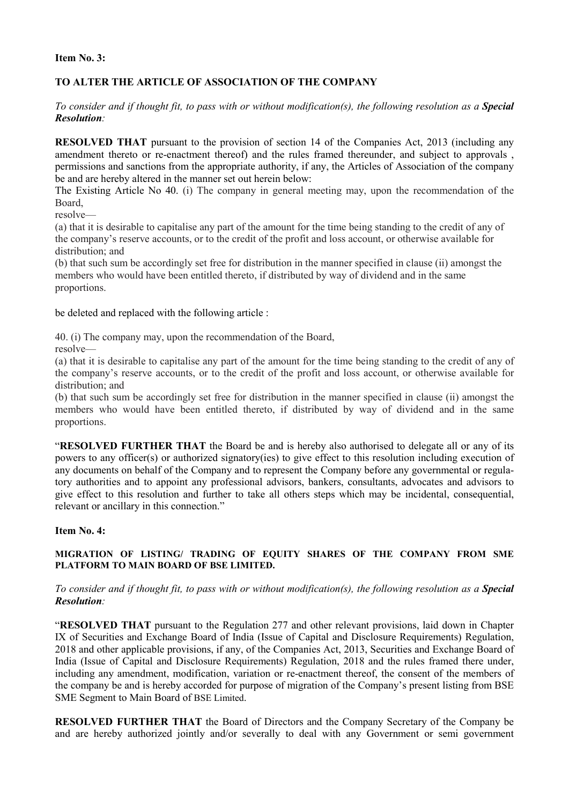#### **Item No. 3:**

## **TO ALTER THE ARTICLE OF ASSOCIATION OF THE COMPANY**

*To consider and if thought fit, to pass with or without modification(s), the following resolution as a Special Resolution:* 

**RESOLVED THAT** pursuant to the provision of section 14 of the Companies Act, 2013 (including any amendment thereto or re-enactment thereof) and the rules framed thereunder, and subject to approvals , permissions and sanctions from the appropriate authority, if any, the Articles of Association of the company be and are hereby altered in the manner set out herein below:

The Existing Article No 40. (i) The company in general meeting may, upon the recommendation of the Board,

resolve—

(a) that it is desirable to capitalise any part of the amount for the time being standing to the credit of any of the company's reserve accounts, or to the credit of the profit and loss account, or otherwise available for distribution; and

(b) that such sum be accordingly set free for distribution in the manner specified in clause (ii) amongst the members who would have been entitled thereto, if distributed by way of dividend and in the same proportions.

be deleted and replaced with the following article :

40. (i) The company may, upon the recommendation of the Board,

resolve—

(a) that it is desirable to capitalise any part of the amount for the time being standing to the credit of any of the company's reserve accounts, or to the credit of the profit and loss account, or otherwise available for distribution; and

(b) that such sum be accordingly set free for distribution in the manner specified in clause (ii) amongst the members who would have been entitled thereto, if distributed by way of dividend and in the same proportions.

"**RESOLVED FURTHER THAT** the Board be and is hereby also authorised to delegate all or any of its powers to any officer(s) or authorized signatory(ies) to give effect to this resolution including execution of any documents on behalf of the Company and to represent the Company before any governmental or regulatory authorities and to appoint any professional advisors, bankers, consultants, advocates and advisors to give effect to this resolution and further to take all others steps which may be incidental, consequential, relevant or ancillary in this connection."

#### **Item No. 4:**

#### **MIGRATION OF LISTING/ TRADING OF EQUITY SHARES OF THE COMPANY FROM SME PLATFORM TO MAIN BOARD OF BSE LIMITED.**

#### *To consider and if thought fit, to pass with or without modification(s), the following resolution as a Special Resolution:*

"**RESOLVED THAT** pursuant to the Regulation 277 and other relevant provisions, laid down in Chapter IX of Securities and Exchange Board of India (Issue of Capital and Disclosure Requirements) Regulation, 2018 and other applicable provisions, if any, of the Companies Act, 2013, Securities and Exchange Board of India (Issue of Capital and Disclosure Requirements) Regulation, 2018 and the rules framed there under, including any amendment, modification, variation or re-enactment thereof, the consent of the members of the company be and is hereby accorded for purpose of migration of the Company's present listing from BSE SME Segment to Main Board of BSE Limited.

**RESOLVED FURTHER THAT** the Board of Directors and the Company Secretary of the Company be and are hereby authorized jointly and/or severally to deal with any Government or semi government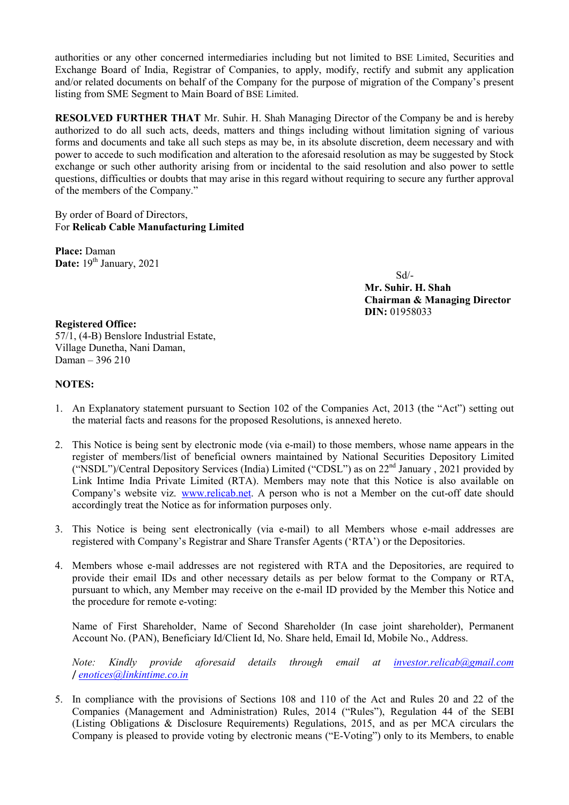authorities or any other concerned intermediaries including but not limited to BSE Limited, Securities and Exchange Board of India, Registrar of Companies, to apply, modify, rectify and submit any application and/or related documents on behalf of the Company for the purpose of migration of the Company's present listing from SME Segment to Main Board of BSE Limited.

**RESOLVED FURTHER THAT** Mr. Suhir. H. Shah Managing Director of the Company be and is hereby authorized to do all such acts, deeds, matters and things including without limitation signing of various forms and documents and take all such steps as may be, in its absolute discretion, deem necessary and with power to accede to such modification and alteration to the aforesaid resolution as may be suggested by Stock exchange or such other authority arising from or incidental to the said resolution and also power to settle questions, difficulties or doubts that may arise in this regard without requiring to secure any further approval of the members of the Company."

## By order of Board of Directors, For **Relicab Cable Manufacturing Limited**

**Place:** Daman Date: 19<sup>th</sup> January, 2021

Sd/-

**Mr. Suhir. H. Shah Chairman & Managing Director DIN:** 01958033

# **Registered Office:**

57/1, (4-B) Benslore Industrial Estate, Village Dunetha, Nani Daman, Daman – 396 210

## **NOTES:**

- 1. An Explanatory statement pursuant to Section 102 of the Companies Act, 2013 (the "Act") setting out the material facts and reasons for the proposed Resolutions, is annexed hereto.
- 2. This Notice is being sent by electronic mode (via e-mail) to those members, whose name appears in the register of members/list of beneficial owners maintained by National Securities Depository Limited ("NSDL")/Central Depository Services (India) Limited ("CDSL") as on 22nd January , 2021 provided by Link Intime India Private Limited (RTA). Members may note that this Notice is also available on Company's website viz. [www.relicab.net.](http://www.relicab.net/) A person who is not a Member on the cut-off date should accordingly treat the Notice as for information purposes only.
- 3. This Notice is being sent electronically (via e-mail) to all Members whose e-mail addresses are registered with Company's Registrar and Share Transfer Agents ('RTA') or the Depositories.
- 4. Members whose e-mail addresses are not registered with RTA and the Depositories, are required to provide their email IDs and other necessary details as per below format to the Company or RTA, pursuant to which, any Member may receive on the e-mail ID provided by the Member this Notice and the procedure for remote e-voting:

Name of First Shareholder, Name of Second Shareholder (In case joint shareholder), Permanent Account No. (PAN), Beneficiary Id/Client Id, No. Share held, Email Id, Mobile No., Address.

*Note: Kindly provide aforesaid details through email at [investor.relicab@gmail.com](mailto:investor.relicab@gmail.com)* / *enotices@linkintime.co.in*

5. In compliance with the provisions of Sections 108 and 110 of the Act and Rules 20 and 22 of the Companies (Management and Administration) Rules, 2014 ("Rules"), Regulation 44 of the SEBI (Listing Obligations & Disclosure Requirements) Regulations, 2015, and as per MCA circulars the Company is pleased to provide voting by electronic means ("E-Voting") only to its Members, to enable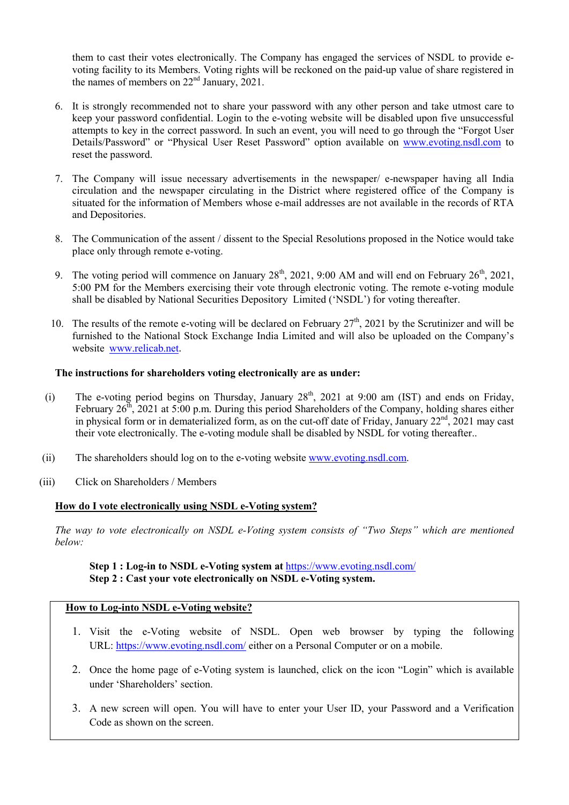them to cast their votes electronically. The Company has engaged the services of NSDL to provide evoting facility to its Members. Voting rights will be reckoned on the paid-up value of share registered in the names of members on  $22<sup>nd</sup>$  January, 2021.

- 6. It is strongly recommended not to share your password with any other person and take utmost care to keep your password confidential. Login to the e-voting website will be disabled upon five unsuccessful attempts to key in the correct password. In such an event, you will need to go through the "Forgot User Details/Password" or "Physical User Reset Password" option available on www.evoting.nsdl.com to reset the password.
- 7. The Company will issue necessary advertisements in the newspaper/ e-newspaper having all India circulation and the newspaper circulating in the District where registered office of the Company is situated for the information of Members whose e-mail addresses are not available in the records of RTA and Depositories.
- 8. The Communication of the assent / dissent to the Special Resolutions proposed in the Notice would take place only through remote e-voting.
- 9. The voting period will commence on January  $28<sup>th</sup>$ , 2021, 9:00 AM and will end on February  $26<sup>th</sup>$ , 2021, 5:00 PM for the Members exercising their vote through electronic voting. The remote e-voting module shall be disabled by National Securities Depository Limited ('NSDL') for voting thereafter.
- 10. The results of the remote e-voting will be declared on February  $27<sup>th</sup>$ , 2021 by the Scrutinizer and will be furnished to the National Stock Exchange India Limited and will also be uploaded on the Company's website [www.relicab.net](http://www.relicab.net/).

## **The instructions for shareholders voting electronically are as under:**

- (i) The e-voting period begins on Thursday, January  $28<sup>th</sup>$ ,  $2021$  at 9:00 am (IST) and ends on Friday, February  $26<sup>th</sup>$ , 2021 at 5:00 p.m. During this period Shareholders of the Company, holding shares either in physical form or in dematerialized form, as on the cut-off date of Friday, January  $22<sup>nd</sup>$ ,  $2021$  may cast their vote electronically. The e-voting module shall be disabled by NSDL for voting thereafter..
- (ii) The shareholders should log on to the e-voting website www.evoting.nsdl.com.
- (iii) Click on Shareholders / Members

## **How do I vote electronically using NSDL e-Voting system?**

*The way to vote electronically on NSDL e-Voting system consists of "Two Steps" which are mentioned below:* 

**Step 1 : Log-in to NSDL e-Voting system at** <https://www.evoting.nsdl.com/> **Step 2 : Cast your vote electronically on NSDL e-Voting system.**

#### **How to Log-into NSDL e-Voting website?**

- 1. Visit the e-Voting website of NSDL. Open web browser by typing the following URL:<https://www.evoting.nsdl.com/>either on a Personal Computer or on a mobile.
- 2. Once the home page of e-Voting system is launched, click on the icon "Login" which is available under 'Shareholders' section.
- 3. A new screen will open. You will have to enter your User ID, your Password and a Verification Code as shown on the screen.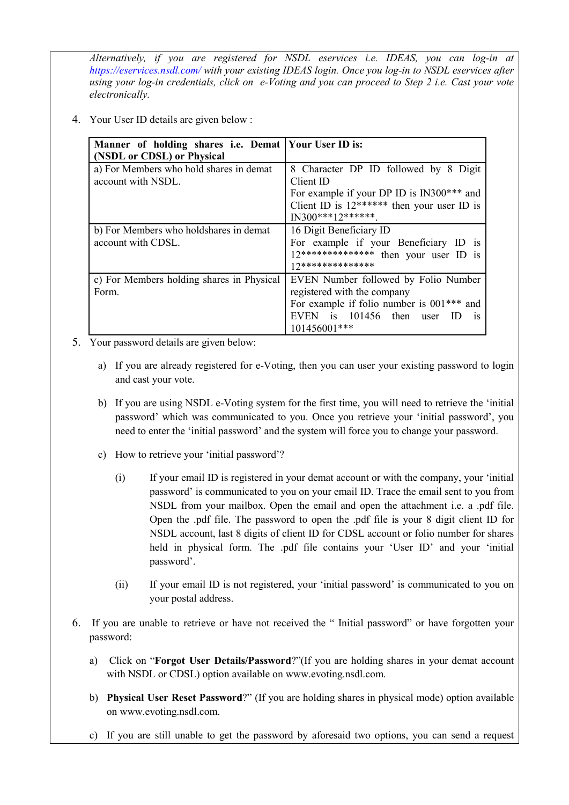*Alternatively, if you are registered for NSDL eservices i.e. IDEAS, you can log-in at <https://eservices.nsdl.com/> with your existing IDEAS login. Once you log-in to NSDL eservices after using your log-in credentials, click on e-Voting and you can proceed to Step 2 i.e. Cast your vote electronically.*

4. Your User ID details are given below :

| Manner of holding shares i.e. Demat   Your User ID is: |                                              |
|--------------------------------------------------------|----------------------------------------------|
| (NSDL or CDSL) or Physical                             |                                              |
| a) For Members who hold shares in demat                | 8 Character DP ID followed by 8 Digit        |
| account with NSDL.                                     | Client ID                                    |
|                                                        | For example if your DP ID is IN300*** and    |
|                                                        | Client ID is $12******$ then your user ID is |
|                                                        | $IN300***12******$                           |
| b) For Members who holdshares in demat                 | 16 Digit Beneficiary ID                      |
| account with CDSL.                                     | For example if your Beneficiary ID is        |
|                                                        | 12************** then your user ID is        |
|                                                        | 17**************                             |
| c) For Members holding shares in Physical              | EVEN Number followed by Folio Number         |
| Form.                                                  | registered with the company                  |
|                                                        | For example if folio number is 001*** and    |
|                                                        | EVEN is 101456 then user<br>ID<br><b>1S</b>  |
|                                                        | 101456001***                                 |

- 5. Your password details are given below:
	- a) If you are already registered for e-Voting, then you can user your existing password to login and cast your vote.
	- b) If you are using NSDL e-Voting system for the first time, you will need to retrieve the 'initial password' which was communicated to you. Once you retrieve your 'initial password', you need to enter the 'initial password' and the system will force you to change your password.
	- c) How to retrieve your 'initial password'?
		- (i) If your email ID is registered in your demat account or with the company, your 'initial password' is communicated to you on your email ID. Trace the email sent to you from NSDL from your mailbox. Open the email and open the attachment i.e. a .pdf file. Open the .pdf file. The password to open the .pdf file is your 8 digit client ID for NSDL account, last 8 digits of client ID for CDSL account or folio number for shares held in physical form. The .pdf file contains your 'User ID' and your 'initial password'.
		- (ii) If your email ID is not registered, your 'initial password' is communicated to you on your postal address.
- 6. If you are unable to retrieve or have not received the " Initial password" or have forgotten your password:
	- a) Click on "**[Forgot User Details/Password](https://www.evoting.nsdl.com/eVotingWeb/commonhtmls/NewUser.jsp)**?"(If you are holding shares in your demat account with NSDL or CDSL) option available on www.evoting.nsdl.com.
	- b) **[Physical User Reset Password](https://www.evoting.nsdl.com/eVotingWeb/commonhtmls/PhysicalUser.jsp)**?" (If you are holding shares in physical mode) option available on [www.evoting.nsdl.com.](http://www.evoting.nsdl.com/)
	- c) If you are still unable to get the password by aforesaid two options, you can send a request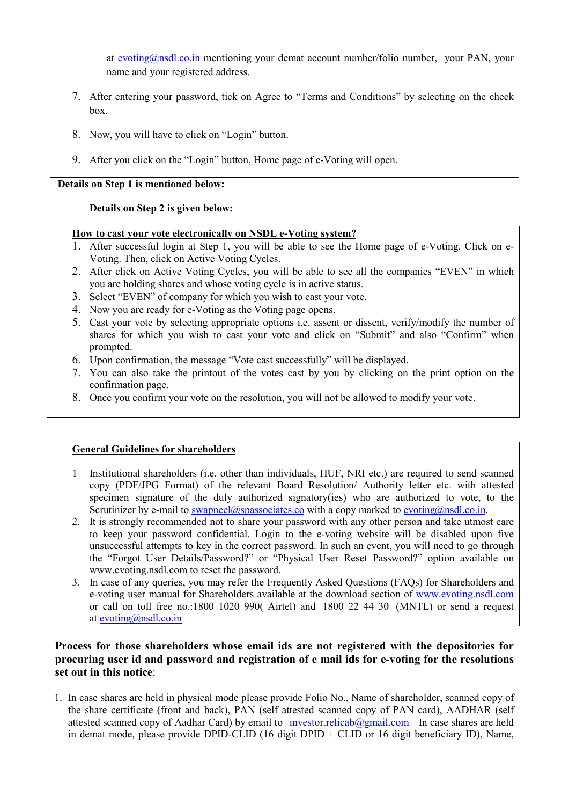at [evoting@nsdl.co.in](mailto:evoting@nsdl.co.in) mentioning your demat account number/folio number, your PAN, your name and your registered address.

- 7. After entering your password, tick on Agree to "Terms and Conditions" by selecting on the check box.
- 8. Now, you will have to click on "Login" button.
- 9. After you click on the "Login" button, Home page of e-Voting will open.

**Details on Step 1 is mentioned below:**

## **Details on Step 2 is given below:**

## **How to cast your vote electronically on NSDL e-Voting system?**

- 1. After successful login at Step 1, you will be able to see the Home page of e-Voting. Click on e-Voting. Then, click on Active Voting Cycles.
- 2. After click on Active Voting Cycles, you will be able to see all the companies "EVEN" in which you are holding shares and whose voting cycle is in active status.
- 3. Select "EVEN" of company for which you wish to cast your vote.
- 4. Now you are ready for e-Voting as the Voting page opens.
- 5. Cast your vote by selecting appropriate options i.e. assent or dissent, verify/modify the number of shares for which you wish to cast your vote and click on "Submit" and also "Confirm" when prompted.
- 6. Upon confirmation, the message "Vote cast successfully" will be displayed.
- 7. You can also take the printout of the votes cast by you by clicking on the print option on the confirmation page.
- 8. Once you confirm your vote on the resolution, you will not be allowed to modify your vote.

## **General Guidelines for shareholders**

- 1 Institutional shareholders (i.e. other than individuals, HUF, NRI etc.) are required to send scanned copy (PDF/JPG Format) of the relevant Board Resolution/ Authority letter etc. with attested specimen signature of the duly authorized signatory(ies) who are authorized to vote, to the Scrutinizer by e-mail to [swapneel@spassociates.co](mailto:swapneel@spassociates.co) with a copy marked to [evoting@nsdl.co.in.](mailto:evoting@nsdl.co.in)
- 2. It is strongly recommended not to share your password with any other person and take utmost care to keep your password confidential. Login to the e-voting website will be disabled upon five unsuccessful attempts to key in the correct password. In such an event, you will need to go through the ["Forgot User Details/Password?"](https://www.evoting.nsdl.com/eVotingWeb/commonhtmls/NewUser.jsp) or ["Physical User Reset Password?"](https://www.evoting.nsdl.com/eVotingWeb/commonhtmls/PhysicalUser.jsp) option available on www.evoting.nsdl.com to reset the password.
- 3. In case of any queries, you may refer the Frequently Asked Questions (FAQs) for Shareholders and e-voting user manual for Shareholders available at the download section of [www.evoting.nsdl.com](http://www.evoting.nsdl.com/) or call on toll free no.:1800 1020 990( Airtel) and 1800 22 44 30 (MNTL) or send a request at [evoting@nsdl.co.in](mailto:evoting@nsdl.co.in)

# **Process for those shareholders whose email ids are not registered with the depositories for procuring user id and password and registration of e mail ids for e-voting for the resolutions set out in this notice**:

1. In case shares are held in physical mode please provide Folio No., Name of shareholder, scanned copy of the share certificate (front and back), PAN (self attested scanned copy of PAN card), AADHAR (self attested scanned copy of Aadhar Card) by email to  $investor.relicab@gmail.com$  In case shares are held in demat mode, please provide DPID-CLID (16 digit DPID + CLID or 16 digit beneficiary ID), Name,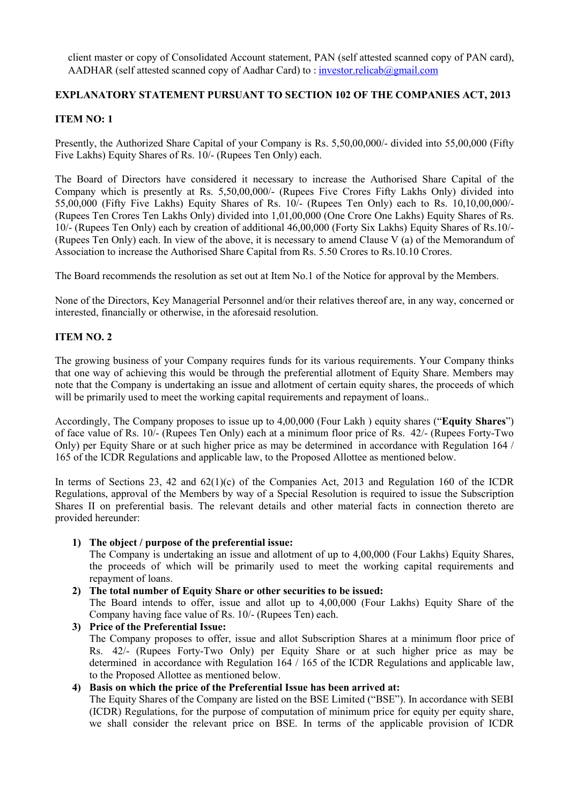client master or copy of Consolidated Account statement, PAN (self attested scanned copy of PAN card), AADHAR (self attested scanned copy of Aadhar Card) to : [investor.relicab@gmail.com](mailto:investor.relicab@gmail.com) 

## **EXPLANATORY STATEMENT PURSUANT TO SECTION 102 OF THE COMPANIES ACT, 2013**

## **ITEM NO: 1**

Presently, the Authorized Share Capital of your Company is Rs. 5,50,00,000/- divided into 55,00,000 (Fifty Five Lakhs) Equity Shares of Rs. 10/- (Rupees Ten Only) each.

The Board of Directors have considered it necessary to increase the Authorised Share Capital of the Company which is presently at Rs. 5,50,00,000/- (Rupees Five Crores Fifty Lakhs Only) divided into 55,00,000 (Fifty Five Lakhs) Equity Shares of Rs. 10/- (Rupees Ten Only) each to Rs. 10,10,00,000/- (Rupees Ten Crores Ten Lakhs Only) divided into 1,01,00,000 (One Crore One Lakhs) Equity Shares of Rs. 10/- (Rupees Ten Only) each by creation of additional 46,00,000 (Forty Six Lakhs) Equity Shares of Rs.10/- (Rupees Ten Only) each. In view of the above, it is necessary to amend Clause V (a) of the Memorandum of Association to increase the Authorised Share Capital from Rs. 5.50 Crores to Rs.10.10 Crores.

The Board recommends the resolution as set out at Item No.1 of the Notice for approval by the Members.

None of the Directors, Key Managerial Personnel and/or their relatives thereof are, in any way, concerned or interested, financially or otherwise, in the aforesaid resolution.

# **ITEM NO. 2**

The growing business of your Company requires funds for its various requirements. Your Company thinks that one way of achieving this would be through the preferential allotment of Equity Share. Members may note that the Company is undertaking an issue and allotment of certain equity shares, the proceeds of which will be primarily used to meet the working capital requirements and repayment of loans..

Accordingly, The Company proposes to issue up to 4,00,000 (Four Lakh ) equity shares ("**Equity Shares**") of face value of Rs. 10/- (Rupees Ten Only) each at a minimum floor price of Rs. 42/- (Rupees Forty-Two Only) per Equity Share or at such higher price as may be determined in accordance with Regulation 164 / 165 of the ICDR Regulations and applicable law, to the Proposed Allottee as mentioned below.

In terms of Sections 23, 42 and 62(1)(c) of the Companies Act, 2013 and Regulation 160 of the ICDR Regulations, approval of the Members by way of a Special Resolution is required to issue the Subscription Shares II on preferential basis. The relevant details and other material facts in connection thereto are provided hereunder:

**1) The object / purpose of the preferential issue:**

The Company is undertaking an issue and allotment of up to 4,00,000 (Four Lakhs) Equity Shares, the proceeds of which will be primarily used to meet the working capital requirements and repayment of loans.

- **2) The total number of Equity Share or other securities to be issued:** The Board intends to offer, issue and allot up to 4,00,000 (Four Lakhs) Equity Share of the Company having face value of Rs. 10/- (Rupees Ten) each.
- **3) Price of the Preferential Issue:**  The Company proposes to offer, issue and allot Subscription Shares at a minimum floor price of Rs. 42/- (Rupees Forty-Two Only) per Equity Share or at such higher price as may be determined in accordance with Regulation 164 / 165 of the ICDR Regulations and applicable law, to the Proposed Allottee as mentioned below.

## **4) Basis on which the price of the Preferential Issue has been arrived at:**

The Equity Shares of the Company are listed on the BSE Limited ("BSE"). In accordance with SEBI (ICDR) Regulations, for the purpose of computation of minimum price for equity per equity share, we shall consider the relevant price on BSE. In terms of the applicable provision of ICDR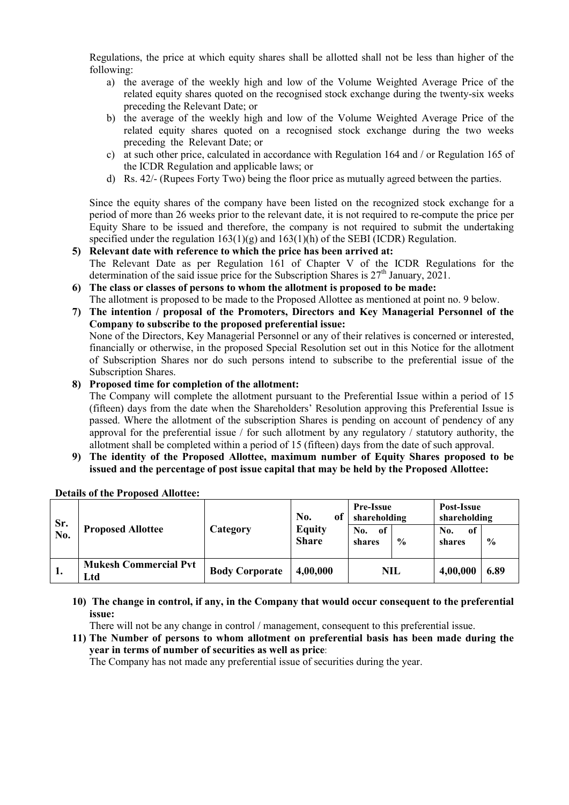Regulations, the price at which equity shares shall be allotted shall not be less than higher of the following:

- a) the average of the weekly high and low of the Volume Weighted Average Price of the related equity shares quoted on the recognised stock exchange during the twenty-six weeks preceding the Relevant Date; or
- b) the average of the weekly high and low of the Volume Weighted Average Price of the related equity shares quoted on a recognised stock exchange during the two weeks preceding the Relevant Date; or
- c) at such other price, calculated in accordance with Regulation 164 and / or Regulation 165 of the ICDR Regulation and applicable laws; or
- d) Rs. 42/- (Rupees Forty Two) being the floor price as mutually agreed between the parties.

Since the equity shares of the company have been listed on the recognized stock exchange for a period of more than 26 weeks prior to the relevant date, it is not required to re-compute the price per Equity Share to be issued and therefore, the company is not required to submit the undertaking specified under the regulation  $163(1)(g)$  and  $163(1)(h)$  of the SEBI (ICDR) Regulation.

- **5) Relevant date with reference to which the price has been arrived at:** The Relevant Date as per Regulation 161 of Chapter V of the ICDR Regulations for the determination of the said issue price for the Subscription Shares is  $27<sup>th</sup>$  January, 2021.
- **6) The class or classes of persons to whom the allotment is proposed to be made:** The allotment is proposed to be made to the Proposed Allottee as mentioned at point no. 9 below.
- **7) The intention / proposal of the Promoters, Directors and Key Managerial Personnel of the Company to subscribe to the proposed preferential issue:** None of the Directors, Key Managerial Personnel or any of their relatives is concerned or interested, financially or otherwise, in the proposed Special Resolution set out in this Notice for the allotment of Subscription Shares nor do such persons intend to subscribe to the preferential issue of the Subscription Shares.

#### **8) Proposed time for completion of the allotment:**

The Company will complete the allotment pursuant to the Preferential Issue within a period of 15 (fifteen) days from the date when the Shareholders' Resolution approving this Preferential Issue is passed. Where the allotment of the subscription Shares is pending on account of pendency of any approval for the preferential issue / for such allotment by any regulatory / statutory authority, the allotment shall be completed within a period of 15 (fifteen) days from the date of such approval.

**9) The identity of the Proposed Allottee, maximum number of Equity Shares proposed to be issued and the percentage of post issue capital that may be held by the Proposed Allottee:**

| Sr.<br>No. | <b>Proposed Allottee</b>            | Category              | of<br>No.<br>Equity<br><b>Share</b> | <b>Pre-Issue</b><br>shareholding |               | Post-Issue<br>shareholding |               |
|------------|-------------------------------------|-----------------------|-------------------------------------|----------------------------------|---------------|----------------------------|---------------|
|            |                                     |                       |                                     | No.<br>of<br>shares              | $\frac{0}{0}$ | No.<br>of<br>shares        | $\frac{0}{0}$ |
| 1.         | <b>Mukesh Commercial Pvt</b><br>Ltd | <b>Body Corporate</b> | 4,00,000                            | NIL                              |               | 4,00,000                   | 6.89          |

#### **Details of the Proposed Allottee:**

**10) The change in control, if any, in the Company that would occur consequent to the preferential issue:**

There will not be any change in control / management, consequent to this preferential issue.

**11) The Number of persons to whom allotment on preferential basis has been made during the year in terms of number of securities as well as price**:

The Company has not made any preferential issue of securities during the year.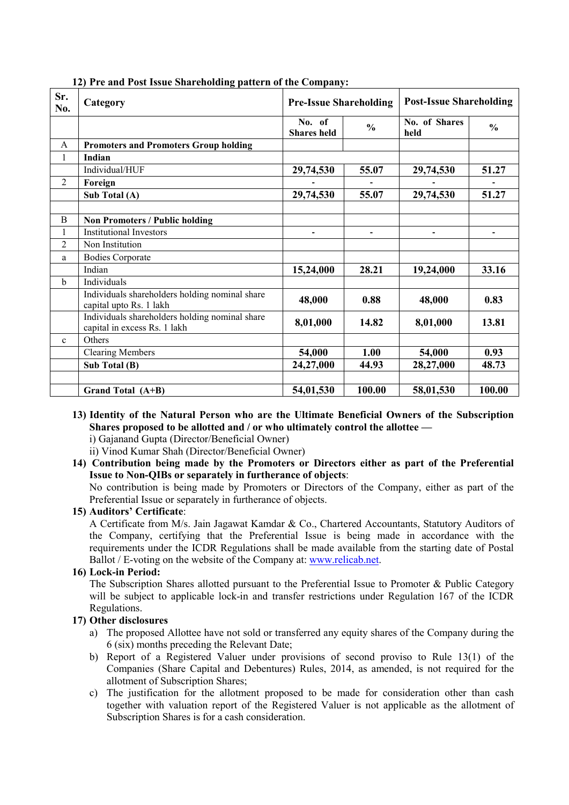| Sr.<br>No.     | Category                                                                       | <b>Pre-Issue Shareholding</b> |               | <b>Post-Issue Shareholding</b> |               |
|----------------|--------------------------------------------------------------------------------|-------------------------------|---------------|--------------------------------|---------------|
|                |                                                                                | No. of<br><b>Shares</b> held  | $\frac{0}{0}$ | No. of Shares<br>held          | $\frac{0}{0}$ |
| A              | <b>Promoters and Promoters Group holding</b>                                   |                               |               |                                |               |
| 1              | Indian                                                                         |                               |               |                                |               |
|                | Individual/HUF                                                                 | 29,74,530                     | 55.07         | 29,74,530                      | 51.27         |
| $\overline{2}$ | Foreign                                                                        |                               |               |                                |               |
|                | Sub Total (A)                                                                  | 29,74,530                     | 55.07         | 29,74,530                      | 51.27         |
|                |                                                                                |                               |               |                                |               |
| B              | <b>Non Promoters / Public holding</b>                                          |                               |               |                                |               |
| 1              | <b>Institutional Investors</b>                                                 |                               |               |                                |               |
| $\overline{2}$ | Non Institution                                                                |                               |               |                                |               |
| a              | <b>Bodies Corporate</b>                                                        |                               |               |                                |               |
|                | Indian                                                                         | 15,24,000                     | 28.21         | 19,24,000                      | 33.16         |
| $\mathbf b$    | Individuals                                                                    |                               |               |                                |               |
|                | Individuals shareholders holding nominal share<br>capital upto Rs. 1 lakh      | 48,000                        | 0.88          | 48,000                         | 0.83          |
|                | Individuals shareholders holding nominal share<br>capital in excess Rs. 1 lakh | 8,01,000                      | 14.82         | 8,01,000                       | 13.81         |
| $\mathbf{c}$   | Others                                                                         |                               |               |                                |               |
|                | <b>Clearing Members</b>                                                        | 54,000                        | 1.00          | 54,000                         | 0.93          |
|                | Sub Total (B)                                                                  | 24,27,000                     | 44.93         | 28,27,000                      | 48.73         |
|                |                                                                                |                               |               |                                |               |
|                | Grand Total (A+B)                                                              | 54,01,530                     | 100.00        | 58,01,530                      | 100.00        |

**12) Pre and Post Issue Shareholding pattern of the Company:**

- **13) Identity of the Natural Person who are the Ultimate Beneficial Owners of the Subscription Shares proposed to be allotted and / or who ultimately control the allottee**  i) Gajanand Gupta (Director/Beneficial Owner)
	- ii) Vinod Kumar Shah (Director/Beneficial Owner)
- **14) Contribution being made by the Promoters or Directors either as part of the Preferential Issue to Non-QIBs or separately in furtherance of objects**:

No contribution is being made by Promoters or Directors of the Company, either as part of the Preferential Issue or separately in furtherance of objects.

#### **15) Auditors' Certificate**:

A Certificate from M/s. Jain Jagawat Kamdar & Co., Chartered Accountants, Statutory Auditors of the Company, certifying that the Preferential Issue is being made in accordance with the requirements under the ICDR Regulations shall be made available from the starting date of Postal Ballot / E-voting on the website of the Company at: [www.relicab.net.](http://www.relicab.net/)

#### **16) Lock-in Period:**

The Subscription Shares allotted pursuant to the Preferential Issue to Promoter & Public Category will be subject to applicable lock-in and transfer restrictions under Regulation 167 of the ICDR Regulations.

#### **17) Other disclosures**

- a) The proposed Allottee have not sold or transferred any equity shares of the Company during the 6 (six) months preceding the Relevant Date;
- b) Report of a Registered Valuer under provisions of second proviso to Rule 13(1) of the Companies (Share Capital and Debentures) Rules, 2014, as amended, is not required for the allotment of Subscription Shares;
- c) The justification for the allotment proposed to be made for consideration other than cash together with valuation report of the Registered Valuer is not applicable as the allotment of Subscription Shares is for a cash consideration.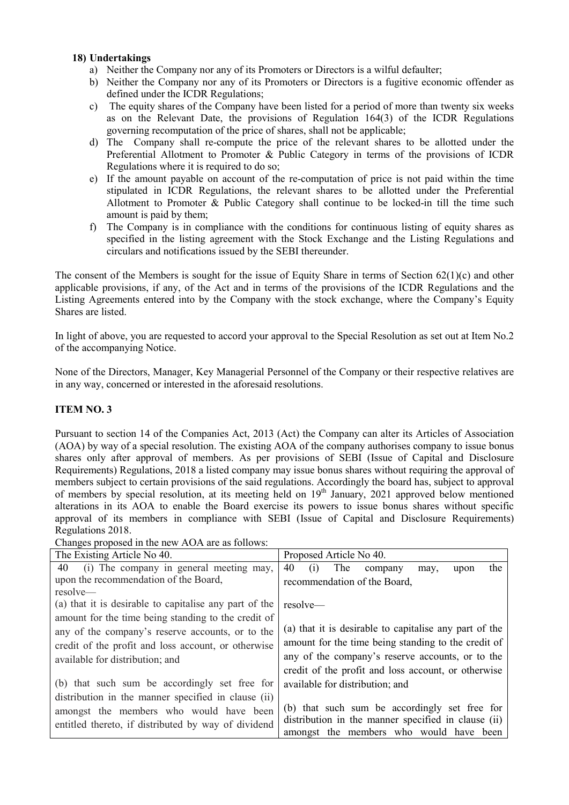## **18) Undertakings**

- a) Neither the Company nor any of its Promoters or Directors is a wilful defaulter;
- b) Neither the Company nor any of its Promoters or Directors is a fugitive economic offender as defined under the ICDR Regulations;
- c) The equity shares of the Company have been listed for a period of more than twenty six weeks as on the Relevant Date, the provisions of Regulation 164(3) of the ICDR Regulations governing recomputation of the price of shares, shall not be applicable;
- d) The Company shall re-compute the price of the relevant shares to be allotted under the Preferential Allotment to Promoter & Public Category in terms of the provisions of ICDR Regulations where it is required to do so;
- e) If the amount payable on account of the re-computation of price is not paid within the time stipulated in ICDR Regulations, the relevant shares to be allotted under the Preferential Allotment to Promoter & Public Category shall continue to be locked-in till the time such amount is paid by them;
- f) The Company is in compliance with the conditions for continuous listing of equity shares as specified in the listing agreement with the Stock Exchange and the Listing Regulations and circulars and notifications issued by the SEBI thereunder.

The consent of the Members is sought for the issue of Equity Share in terms of Section  $62(1)(c)$  and other applicable provisions, if any, of the Act and in terms of the provisions of the ICDR Regulations and the Listing Agreements entered into by the Company with the stock exchange, where the Company's Equity Shares are listed.

In light of above, you are requested to accord your approval to the Special Resolution as set out at Item No.2 of the accompanying Notice.

None of the Directors, Manager, Key Managerial Personnel of the Company or their respective relatives are in any way, concerned or interested in the aforesaid resolutions.

## **ITEM NO. 3**

Pursuant to section 14 of the Companies Act, 2013 (Act) the Company can alter its Articles of Association (AOA) by way of a special resolution. The existing AOA of the company authorises company to issue bonus shares only after approval of members. As per provisions of SEBI (Issue of Capital and Disclosure Requirements) Regulations, 2018 a listed company may issue bonus shares without requiring the approval of members subject to certain provisions of the said regulations. Accordingly the board has, subject to approval of members by special resolution, at its meeting held on 19<sup>th</sup> January, 2021 approved below mentioned alterations in its AOA to enable the Board exercise its powers to issue bonus shares without specific approval of its members in compliance with SEBI (Issue of Capital and Disclosure Requirements) Regulations 2018.

Changes proposed in the new AOA are as follows:

| The Existing Article No 40.                            | Proposed Article No 40.                                |  |  |  |
|--------------------------------------------------------|--------------------------------------------------------|--|--|--|
| (i) The company in general meeting may,<br>40          | 40<br>The<br>the<br>(i)<br>company<br>upon<br>may,     |  |  |  |
| upon the recommendation of the Board,                  | recommendation of the Board,                           |  |  |  |
| resolve—                                               |                                                        |  |  |  |
| (a) that it is desirable to capitalise any part of the | $resolve$ —                                            |  |  |  |
| amount for the time being standing to the credit of    |                                                        |  |  |  |
| any of the company's reserve accounts, or to the       | (a) that it is desirable to capitalise any part of the |  |  |  |
| credit of the profit and loss account, or otherwise    | amount for the time being standing to the credit of    |  |  |  |
| available for distribution; and                        | any of the company's reserve accounts, or to the       |  |  |  |
|                                                        | credit of the profit and loss account, or otherwise    |  |  |  |
| (b) that such sum be accordingly set free for          | available for distribution; and                        |  |  |  |
| distribution in the manner specified in clause (ii)    |                                                        |  |  |  |
| amongst the members who would have been                | (b) that such sum be accordingly set free for          |  |  |  |
| entitled thereto, if distributed by way of dividend    | distribution in the manner specified in clause (ii)    |  |  |  |
|                                                        | amongst the members who would have been                |  |  |  |